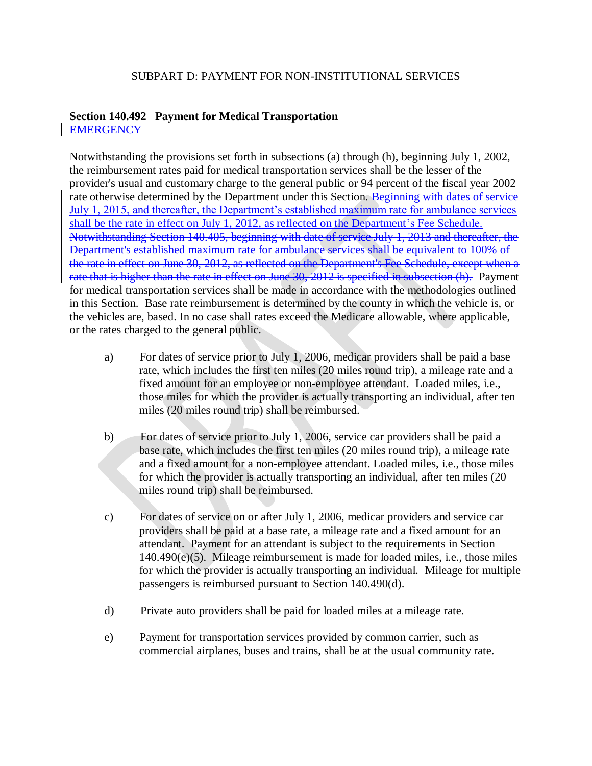## SUBPART D: PAYMENT FOR NON-INSTITUTIONAL SERVICES

## **Section 140.492 Payment for Medical Transportation EMERGENCY**

Notwithstanding the provisions set forth in subsections (a) through (h), beginning July 1, 2002, the reimbursement rates paid for medical transportation services shall be the lesser of the provider's usual and customary charge to the general public or 94 percent of the fiscal year 2002 rate otherwise determined by the Department under this Section. Beginning with dates of service July 1, 2015, and thereafter, the Department's established maximum rate for ambulance services shall be the rate in effect on July 1, 2012, as reflected on the Department's Fee Schedule. Notwithstanding Section 140.405, beginning with date of service July 1, 2013 and thereafter, the Department's established maximum rate for ambulance services shall be equivalent to 100% of the rate in effect on June 30, 2012, as reflected on the Department's Fee Schedule, except when a rate that is higher than the rate in effect on June 30, 2012 is specified in subsection (h). Payment for medical transportation services shall be made in accordance with the methodologies outlined in this Section. Base rate reimbursement is determined by the county in which the vehicle is, or the vehicles are, based. In no case shall rates exceed the Medicare allowable, where applicable, or the rates charged to the general public.

- a) For dates of service prior to July 1, 2006, medicar providers shall be paid a base rate, which includes the first ten miles (20 miles round trip), a mileage rate and a fixed amount for an employee or non-employee attendant. Loaded miles, i.e., those miles for which the provider is actually transporting an individual, after ten miles (20 miles round trip) shall be reimbursed.
- b) For dates of service prior to July 1, 2006, service car providers shall be paid a base rate, which includes the first ten miles (20 miles round trip), a mileage rate and a fixed amount for a non-employee attendant. Loaded miles, i.e., those miles for which the provider is actually transporting an individual, after ten miles (20 miles round trip) shall be reimbursed.
- c) For dates of service on or after July 1, 2006, medicar providers and service car providers shall be paid at a base rate, a mileage rate and a fixed amount for an attendant. Payment for an attendant is subject to the requirements in Section 140.490(e)(5). Mileage reimbursement is made for loaded miles, i.e., those miles for which the provider is actually transporting an individual. Mileage for multiple passengers is reimbursed pursuant to Section 140.490(d).
- d) Private auto providers shall be paid for loaded miles at a mileage rate.
- e) Payment for transportation services provided by common carrier, such as commercial airplanes, buses and trains, shall be at the usual community rate.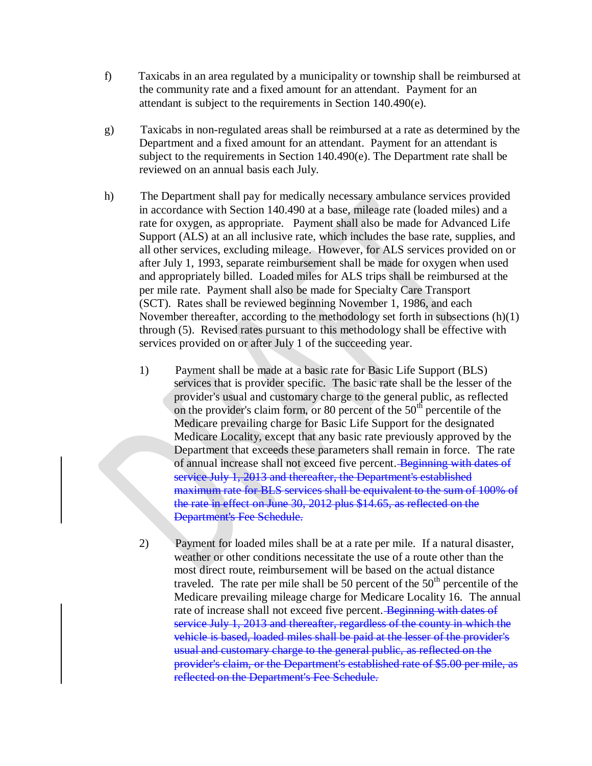- f) Taxicabs in an area regulated by a municipality or township shall be reimbursed at the community rate and a fixed amount for an attendant. Payment for an attendant is subject to the requirements in Section 140.490(e).
- g) Taxicabs in non-regulated areas shall be reimbursed at a rate as determined by the Department and a fixed amount for an attendant. Payment for an attendant is subject to the requirements in Section 140.490(e). The Department rate shall be reviewed on an annual basis each July.
- h) The Department shall pay for medically necessary ambulance services provided in accordance with Section 140.490 at a base, mileage rate (loaded miles) and a rate for oxygen, as appropriate. Payment shall also be made for Advanced Life Support (ALS) at an all inclusive rate, which includes the base rate, supplies, and all other services, excluding mileage. However, for ALS services provided on or after July 1, 1993, separate reimbursement shall be made for oxygen when used and appropriately billed. Loaded miles for ALS trips shall be reimbursed at the per mile rate. Payment shall also be made for Specialty Care Transport (SCT). Rates shall be reviewed beginning November 1, 1986, and each November thereafter, according to the methodology set forth in subsections (h)(1) through (5). Revised rates pursuant to this methodology shall be effective with services provided on or after July 1 of the succeeding year.
	- 1) Payment shall be made at a basic rate for Basic Life Support (BLS) services that is provider specific. The basic rate shall be the lesser of the provider's usual and customary charge to the general public, as reflected on the provider's claim form, or 80 percent of the  $50<sup>th</sup>$  percentile of the Medicare prevailing charge for Basic Life Support for the designated Medicare Locality, except that any basic rate previously approved by the Department that exceeds these parameters shall remain in force. The rate of annual increase shall not exceed five percent. Beginning with dates of service July 1, 2013 and thereafter, the Department's established maximum rate for BLS services shall be equivalent to the sum of 100% of the rate in effect on June 30, 2012 plus \$14.65, as reflected on the Department's Fee Schedule.
	- 2) Payment for loaded miles shall be at a rate per mile. If a natural disaster, weather or other conditions necessitate the use of a route other than the most direct route, reimbursement will be based on the actual distance traveled. The rate per mile shall be 50 percent of the  $50<sup>th</sup>$  percentile of the Medicare prevailing mileage charge for Medicare Locality 16. The annual rate of increase shall not exceed five percent. Beginning with dates of service July 1, 2013 and thereafter, regardless of the county in which the vehicle is based, loaded miles shall be paid at the lesser of the provider's usual and customary charge to the general public, as reflected on the provider's claim, or the Department's established rate of \$5.00 per mile, as reflected on the Department's Fee Schedule.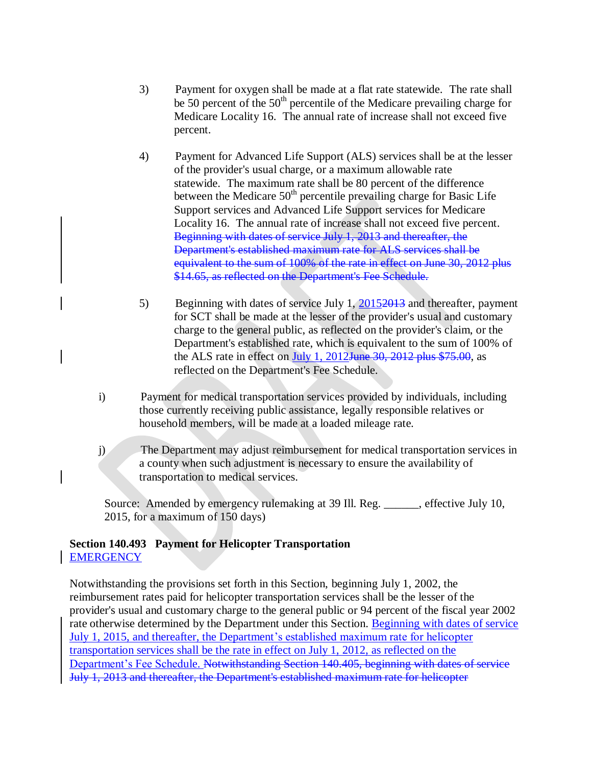- 3) Payment for oxygen shall be made at a flat rate statewide. The rate shall be 50 percent of the  $50<sup>th</sup>$  percentile of the Medicare prevailing charge for Medicare Locality 16. The annual rate of increase shall not exceed five percent.
- 4) Payment for Advanced Life Support (ALS) services shall be at the lesser of the provider's usual charge, or a maximum allowable rate statewide. The maximum rate shall be 80 percent of the difference between the Medicare  $50<sup>th</sup>$  percentile prevailing charge for Basic Life Support services and Advanced Life Support services for Medicare Locality 16. The annual rate of increase shall not exceed five percent. Beginning with dates of service July 1, 2013 and thereafter, the Department's established maximum rate for ALS services shall be equivalent to the sum of 100% of the rate in effect on June 30, 2012 plus \$14.65, as reflected on the Department's Fee Schedule.
- 5) Beginning with dates of service July 1, 2015 2013 and thereafter, payment for SCT shall be made at the lesser of the provider's usual and customary charge to the general public, as reflected on the provider's claim, or the Department's established rate, which is equivalent to the sum of 100% of the ALS rate in effect on July 1,  $2012$  June  $30$ ,  $2012$  plus \$75.00, as reflected on the Department's Fee Schedule.
- i) Payment for medical transportation services provided by individuals, including those currently receiving public assistance, legally responsible relatives or household members, will be made at a loaded mileage rate.
- j) The Department may adjust reimbursement for medical transportation services in a county when such adjustment is necessary to ensure the availability of transportation to medical services.

Source: Amended by emergency rulemaking at 39 Ill. Reg. \_\_\_\_\_\_, effective July 10, 2015, for a maximum of 150 days)

## **Section 140.493 Payment for Helicopter Transportation EMERGENCY**

Notwithstanding the provisions set forth in this Section, beginning July 1, 2002, the reimbursement rates paid for helicopter transportation services shall be the lesser of the provider's usual and customary charge to the general public or 94 percent of the fiscal year 2002 rate otherwise determined by the Department under this Section. Beginning with dates of service July 1, 2015, and thereafter, the Department's established maximum rate for helicopter transportation services shall be the rate in effect on July 1, 2012, as reflected on the Department's Fee Schedule. Notwithstanding Section 140.405, beginning with dates of service July 1, 2013 and thereafter, the Department's established maximum rate for helicopter